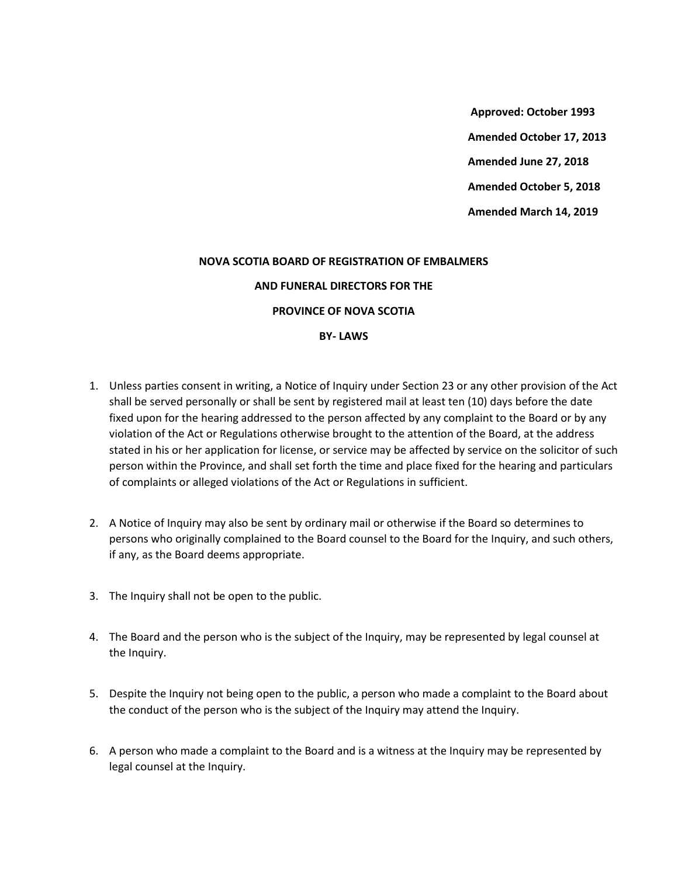**Approved: October 1993 Amended October 17, 2013 Amended June 27, 2018 Amended October 5, 2018 Amended March 14, 2019**

## **NOVA SCOTIA BOARD OF REGISTRATION OF EMBALMERS**

## **AND FUNERAL DIRECTORS FOR THE**

## **PROVINCE OF NOVA SCOTIA**

## **BY- LAWS**

- 1. Unless parties consent in writing, a Notice of Inquiry under Section 23 or any other provision of the Act shall be served personally or shall be sent by registered mail at least ten (10) days before the date fixed upon for the hearing addressed to the person affected by any complaint to the Board or by any violation of the Act or Regulations otherwise brought to the attention of the Board, at the address stated in his or her application for license, or service may be affected by service on the solicitor of such person within the Province, and shall set forth the time and place fixed for the hearing and particulars of complaints or alleged violations of the Act or Regulations in sufficient.
- 2. A Notice of Inquiry may also be sent by ordinary mail or otherwise if the Board so determines to persons who originally complained to the Board counsel to the Board for the Inquiry, and such others, if any, as the Board deems appropriate.
- 3. The Inquiry shall not be open to the public.
- 4. The Board and the person who is the subject of the Inquiry, may be represented by legal counsel at the Inquiry.
- 5. Despite the Inquiry not being open to the public, a person who made a complaint to the Board about the conduct of the person who is the subject of the Inquiry may attend the Inquiry.
- 6. A person who made a complaint to the Board and is a witness at the Inquiry may be represented by legal counsel at the Inquiry.